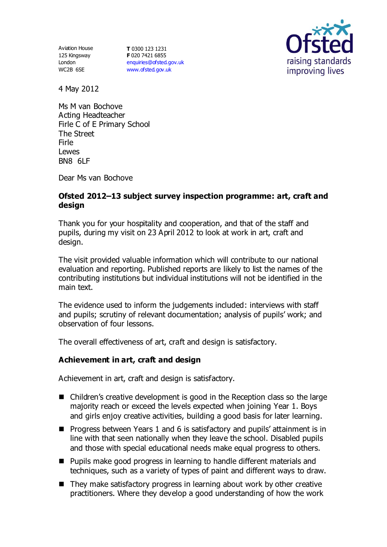Aviation House 125 Kingsway London WC2B 6SE

**T** 0300 123 1231 **F** 020 7421 6855 [enquiries@ofsted.gov.uk](mailto:enquiries@ofsted.gov.uk) [www.ofsted.gov.uk](http://www.ofsted.gov.uk/)



4 May 2012

Ms M van Bochove Acting Headteacher Firle C of E Primary School The Street Firle Lewes BN8 6LF

Dear Ms van Bochove

# **Ofsted 2012–13 subject survey inspection programme: art, craft and design**

Thank you for your hospitality and cooperation, and that of the staff and pupils, during my visit on 23 April 2012 to look at work in art, craft and design.

The visit provided valuable information which will contribute to our national evaluation and reporting. Published reports are likely to list the names of the contributing institutions but individual institutions will not be identified in the main text.

The evidence used to inform the judgements included: interviews with staff and pupils; scrutiny of relevant documentation; analysis of pupils' work; and observation of four lessons.

The overall effectiveness of art, craft and design is satisfactory.

## **Achievement in art, craft and design**

Achievement in art, craft and design is satisfactory.

- Children's creative development is good in the Reception class so the large majority reach or exceed the levels expected when joining Year 1. Boys and girls enjoy creative activities, building a good basis for later learning.
- **Progress between Years 1 and 6 is satisfactory and pupils' attainment is in** line with that seen nationally when they leave the school. Disabled pupils and those with special educational needs make equal progress to others.
- Pupils make good progress in learning to handle different materials and techniques, such as a variety of types of paint and different ways to draw.
- $\blacksquare$  They make satisfactory progress in learning about work by other creative practitioners. Where they develop a good understanding of how the work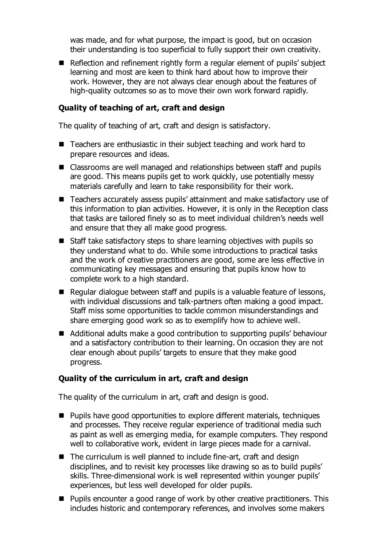was made, and for what purpose, the impact is good, but on occasion their understanding is too superficial to fully support their own creativity.

Reflection and refinement rightly form a regular element of pupils' subject learning and most are keen to think hard about how to improve their work. However, they are not always clear enough about the features of high-quality outcomes so as to move their own work forward rapidly.

### **Quality of teaching of art, craft and design**

The quality of teaching of art, craft and design is satisfactory.

- Teachers are enthusiastic in their subject teaching and work hard to prepare resources and ideas.
- Classrooms are well managed and relationships between staff and pupils are good. This means pupils get to work quickly, use potentially messy materials carefully and learn to take responsibility for their work.
- Teachers accurately assess pupils' attainment and make satisfactory use of this information to plan activities. However, it is only in the Reception class that tasks are tailored finely so as to meet individual children's needs well and ensure that they all make good progress.
- Staff take satisfactory steps to share learning objectives with pupils so they understand what to do. While some introductions to practical tasks and the work of creative practitioners are good, some are less effective in communicating key messages and ensuring that pupils know how to complete work to a high standard.
- Regular dialogue between staff and pupils is a valuable feature of lessons, with individual discussions and talk-partners often making a good impact. Staff miss some opportunities to tackle common misunderstandings and share emerging good work so as to exemplify how to achieve well.
- Additional adults make a good contribution to supporting pupils' behaviour and a satisfactory contribution to their learning. On occasion they are not clear enough about pupils' targets to ensure that they make good progress.

## **Quality of the curriculum in art, craft and design**

The quality of the curriculum in art, craft and design is good.

- Pupils have good opportunities to explore different materials, techniques and processes. They receive regular experience of traditional media such as paint as well as emerging media, for example computers. They respond well to collaborative work, evident in large pieces made for a carnival.
- The curriculum is well planned to include fine-art, craft and design disciplines, and to revisit key processes like drawing so as to build pupils' skills. Three-dimensional work is well represented within younger pupils' experiences, but less well developed for older pupils.
- Pupils encounter a good range of work by other creative practitioners. This includes historic and contemporary references, and involves some makers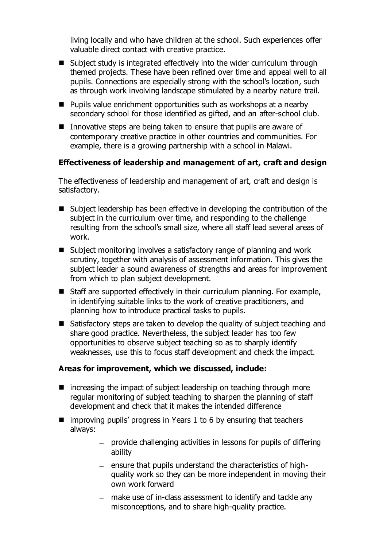living locally and who have children at the school. Such experiences offer valuable direct contact with creative practice.

- Subject study is integrated effectively into the wider curriculum through themed projects. These have been refined over time and appeal well to all pupils. Connections are especially strong with the school's location, such as through work involving landscape stimulated by a nearby nature trail.
- Pupils value enrichment opportunities such as workshops at a nearby secondary school for those identified as gifted, and an after-school club.
- Innovative steps are being taken to ensure that pupils are aware of contemporary creative practice in other countries and communities. For example, there is a growing partnership with a school in Malawi.

### **Effectiveness of leadership and management of art, craft and design**

The effectiveness of leadership and management of art, craft and design is satisfactory.

- Subject leadership has been effective in developing the contribution of the subject in the curriculum over time, and responding to the challenge resulting from the school's small size, where all staff lead several areas of work.
- Subject monitoring involves a satisfactory range of planning and work scrutiny, together with analysis of assessment information. This gives the subject leader a sound awareness of strengths and areas for improvement from which to plan subject development.
- Staff are supported effectively in their curriculum planning. For example, in identifying suitable links to the work of creative practitioners, and planning how to introduce practical tasks to pupils.
- Satisfactory steps are taken to develop the quality of subject teaching and share good practice. Nevertheless, the subject leader has too few opportunities to observe subject teaching so as to sharply identify weaknesses, use this to focus staff development and check the impact.

#### **Areas for improvement, which we discussed, include:**

- $\blacksquare$  increasing the impact of subject leadership on teaching through more regular monitoring of subject teaching to sharpen the planning of staff development and check that it makes the intended difference
- $\blacksquare$  improving pupils' progress in Years 1 to 6 by ensuring that teachers always:
	- provide challenging activities in lessons for pupils of differing ability
	- $-$  ensure that pupils understand the characteristics of highquality work so they can be more independent in moving their own work forward
	- make use of in-class assessment to identify and tackle any misconceptions, and to share high-quality practice.